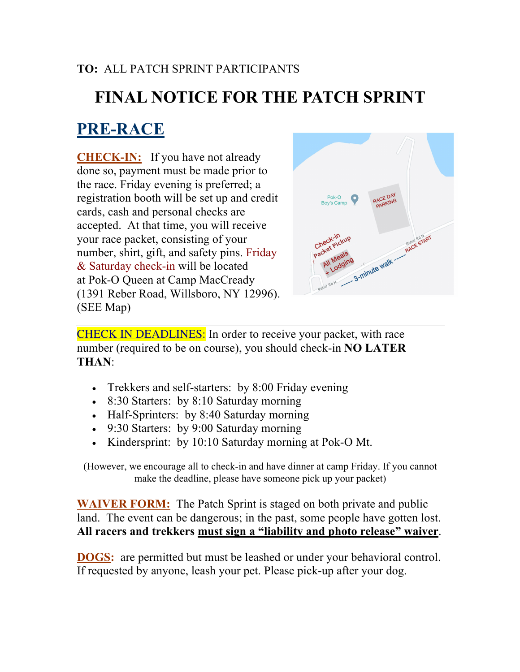#### **TO:** ALL PATCH SPRINT PARTICIPANTS

# **FINAL NOTICE FOR THE PATCH SPRINT**

#### **PRE-RACE**

**CHECK-IN:** If you have not already done so, payment must be made prior to the race. Friday evening is preferred; a registration booth will be set up and credit cards, cash and personal checks are accepted. At that time, you will receive your race packet, consisting of your number, shirt, gift, and safety pins. Friday & Saturday check-in will be located at Pok-O Queen at Camp MacCready (1391 Reber Road, Willsboro, NY 12996). (SEE Map)



CHECK IN DEADLINES: In order to receive your packet, with race number (required to be on course), you should check-in **NO LATER THAN**:

- Trekkers and self-starters: by 8:00 Friday evening
- 8:30 Starters: by 8:10 Saturday morning
- Half-Sprinters: by 8:40 Saturday morning
- 9:30 Starters: by 9:00 Saturday morning
- Kindersprint: by 10:10 Saturday morning at Pok-O Mt.

(However, we encourage all to check-in and have dinner at camp Friday. If you cannot make the deadline, please have someone pick up your packet)

**WAIVER FORM:** The Patch Sprint is staged on both private and public land. The event can be dangerous; in the past, some people have gotten lost. **All racers and trekkers must sign a "liability and photo release" waiver**.

**DOGS:** are permitted but must be leashed or under your behavioral control. If requested by anyone, leash your pet. Please pick-up after your dog.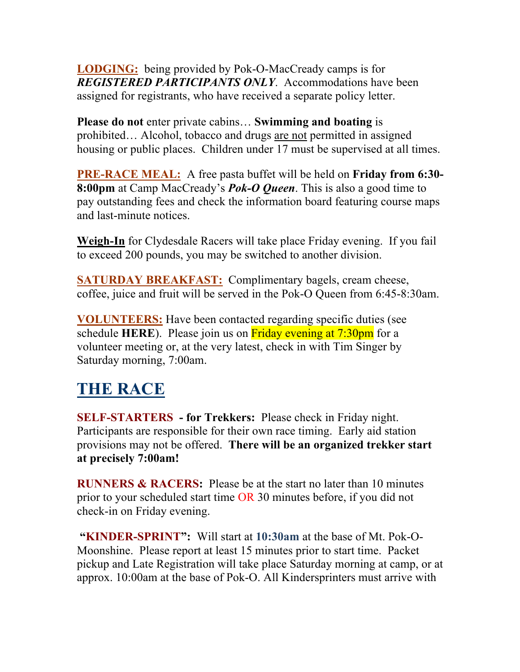**LODGING:** being provided by Pok-O-MacCready camps is for *REGISTERED PARTICIPANTS ONLY*. Accommodations have been assigned for registrants, who have received a separate policy letter.

**Please do not** enter private cabins… **Swimming and boating** is prohibited… Alcohol, tobacco and drugs are not permitted in assigned housing or public places. Children under 17 must be supervised at all times.

**PRE-RACE MEAL:** A free pasta buffet will be held on **Friday from 6:30- 8:00pm** at Camp MacCready's *Pok-O Queen*. This is also a good time to pay outstanding fees and check the information board featuring course maps and last-minute notices.

**Weigh-In** for Clydesdale Racers will take place Friday evening. If you fail to exceed 200 pounds, you may be switched to another division.

**SATURDAY BREAKFAST:** Complimentary bagels, cream cheese, coffee, juice and fruit will be served in the Pok-O Queen from 6:45-8:30am.

**VOLUNTEERS:** Have been contacted regarding specific duties (see schedule **HERE**). Please join us on **Friday** evening at 7:30pm for a volunteer meeting or, at the very latest, check in with Tim Singer by Saturday morning, 7:00am.

## **THE RACE**

**SELF-STARTERS - for Trekkers:** Please check in Friday night. Participants are responsible for their own race timing. Early aid station provisions may not be offered. **There will be an organized trekker start at precisely 7:00am!**

**RUNNERS & RACERS:** Please be at the start no later than 10 minutes prior to your scheduled start time OR 30 minutes before, if you did not check-in on Friday evening.

**"KINDER-SPRINT":** Will start at **10:30am** at the base of Mt. Pok-O-Moonshine. Please report at least 15 minutes prior to start time. Packet pickup and Late Registration will take place Saturday morning at camp, or at approx. 10:00am at the base of Pok-O. All Kindersprinters must arrive with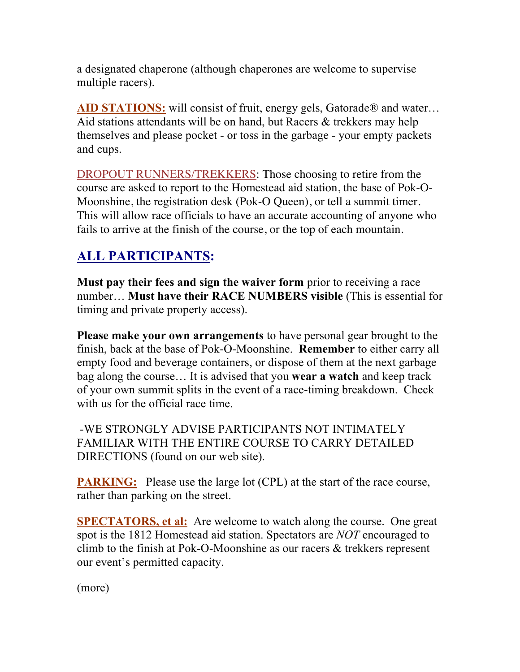a designated chaperone (although chaperones are welcome to supervise multiple racers).

AID STATIONS: will consist of fruit, energy gels, Gatorade<sup>®</sup> and water... Aid stations attendants will be on hand, but Racers & trekkers may help themselves and please pocket - or toss in the garbage - your empty packets and cups.

DROPOUT RUNNERS/TREKKERS: Those choosing to retire from the course are asked to report to the Homestead aid station, the base of Pok-O-Moonshine, the registration desk (Pok-O Queen), or tell a summit timer. This will allow race officials to have an accurate accounting of anyone who fails to arrive at the finish of the course, or the top of each mountain.

#### **ALL PARTICIPANTS:**

**Must pay their fees and sign the waiver form** prior to receiving a race number… **Must have their RACE NUMBERS visible** (This is essential for timing and private property access).

**Please make your own arrangements** to have personal gear brought to the finish, back at the base of Pok-O-Moonshine. **Remember** to either carry all empty food and beverage containers, or dispose of them at the next garbage bag along the course… It is advised that you **wear a watch** and keep track of your own summit splits in the event of a race-timing breakdown. Check with us for the official race time.

-WE STRONGLY ADVISE PARTICIPANTS NOT INTIMATELY FAMILIAR WITH THE ENTIRE COURSE TO CARRY DETAILED DIRECTIONS (found on our web site).

**PARKING:** Please use the large lot (CPL) at the start of the race course, rather than parking on the street.

**SPECTATORS, et al:** Are welcome to watch along the course. One great spot is the 1812 Homestead aid station. Spectators are *NOT* encouraged to climb to the finish at Pok-O-Moonshine as our racers & trekkers represent our event's permitted capacity.

(more)